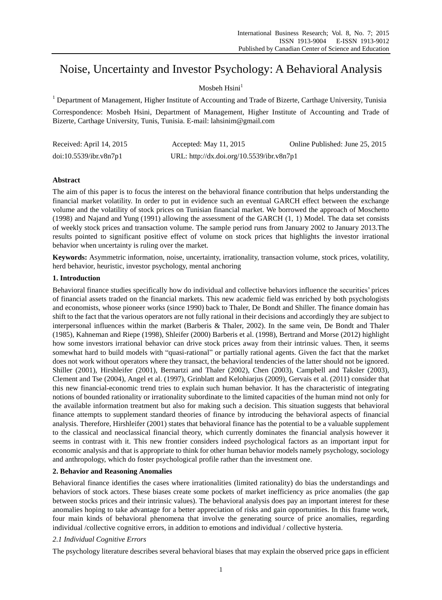# Noise, Uncertainty and Investor Psychology: A Behavioral Analysis

# Mosbeh  $Hsini<sup>1</sup>$

<sup>1</sup> Department of Management, Higher Institute of Accounting and Trade of Bizerte, Carthage University, Tunisia

Correspondence: Mosbeh Hsini, Department of Management, Higher Institute of Accounting and Trade of Bizerte, Carthage University, Tunis, Tunisia. E-mail: lahsinim@gmail.com

| Received: April 14, 2015 | Accepted: May $11, 2015$                  | Online Published: June 25, 2015 |
|--------------------------|-------------------------------------------|---------------------------------|
| doi:10.5539/ibr.v8n7p1   | URL: http://dx.doi.org/10.5539/ibr.v8n7p1 |                                 |

## **Abstract**

The aim of this paper is to focus the interest on the behavioral finance contribution that helps understanding the financial market volatility. In order to put in evidence such an eventual GARCH effect between the exchange volume and the volatility of stock prices on Tunisian financial market. We borrowed the approach of Moschetto (1998) and Najand and Yung (1991) allowing the assessment of the GARCH (1, 1) Model. The data set consists of weekly stock prices and transaction volume. The sample period runs from January 2002 to January 2013.The results pointed to significant positive effect of volume on stock prices that highlights the investor irrational behavior when uncertainty is ruling over the market.

**Keywords:** Asymmetric information, noise, uncertainty, irrationality, transaction volume, stock prices, volatility, herd behavior, heuristic, investor psychology, mental anchoring

## **1. Introduction**

Behavioral finance studies specifically how do individual and collective behaviors influence the securities" prices of financial assets traded on the financial markets. This new academic field was enriched by both psychologists and economists, whose pioneer works (since 1990) back to Thaler, De Bondt and Shiller. The finance domain has shift to the fact that the various operators are not fully rational in their decisions and accordingly they are subject to interpersonal influences within the market (Barberis & Thaler, 2002). In the same vein, De Bondt and Thaler (1985), Kahneman and Riepe (1998), Shleifer (2000) Barberis et al. (1998), Bertrand and Morse (2012) highlight how some investors irrational behavior can drive stock prices away from their intrinsic values. Then, it seems somewhat hard to build models with "quasi-rational" or partially rational agents. Given the fact that the market does not work without operators where they transact, the behavioral tendencies of the latter should not be ignored. Shiller (2001), Hirshleifer (2001), Bernartzi and Thaler (2002), Chen (2003), Campbell and Taksler (2003), Clement and Tse (2004), Angel et al. (1997), Grinblatt and Kelohiarjus (2009), Gervais et al. (2011) consider that this new financial-economic trend tries to explain such human behavior. It has the characteristic of integrating notions of bounded rationality or irrationality subordinate to the limited capacities of the human mind not only for the available information treatment but also for making such a decision. This situation suggests that behavioral finance attempts to supplement standard theories of finance by introducing the behavioral aspects of financial analysis. Therefore, Hirshleifer (2001) states that behavioral finance has the potential to be a valuable supplement to the classical and neoclassical financial theory, which currently dominates the financial analysis however it seems in contrast with it. This new frontier considers indeed psychological factors as an important input for economic analysis and that is appropriate to think for other human behavior models namely psychology, sociology and anthropology, which do foster psychological profile rather than the investment one.

## **2. Behavior and Reasoning Anomalies**

Behavioral finance identifies the cases where irrationalities (limited rationality) do bias the understandings and behaviors of stock actors. These biases create some pockets of market inefficiency as price anomalies (the gap between stocks prices and their intrinsic values). The behavioral analysis does pay an important interest for these anomalies hoping to take advantage for a better appreciation of risks and gain opportunities. In this frame work, four main kinds of behavioral phenomena that involve the generating source of price anomalies, regarding individual /collective cognitive errors, in addition to emotions and individual / collective hysteria.

## *2.1 Individual Cognitive Errors*

The psychology literature describes several behavioral biases that may explain the observed price gaps in efficient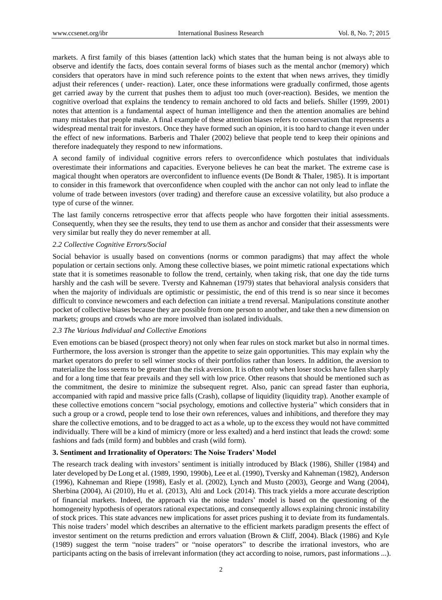markets. A first family of this biases (attention lack) which states that the human being is not always able to observe and identify the facts, does contain several forms of biases such as the mental anchor (memory) which considers that operators have in mind such reference points to the extent that when news arrives, they timidly adjust their references ( under- reaction). Later, once these informations were gradually confirmed, those agents get carried away by the current that pushes them to adjust too much (over-reaction). Besides, we mention the cognitive overload that explains the tendency to remain anchored to old facts and beliefs. Shiller (1999, 2001) notes that attention is a fundamental aspect of human intelligence and then the attention anomalies are behind many mistakes that people make. A final example of these attention biases refers to conservatism that represents a widespread mental trait for investors. Once they have formed such an opinion, it is too hard to change it even under the effect of new informations. Barberis and Thaler (2002) believe that people tend to keep their opinions and therefore inadequately they respond to new informations.

A second family of individual cognitive errors refers to overconfidence which postulates that individuals overestimate their informations and capacities. Everyone believes he can beat the market. The extreme case is magical thought when operators are overconfident to influence events (De Bondt & Thaler, 1985). It is important to consider in this framework that overconfidence when coupled with the anchor can not only lead to inflate the volume of trade between investors (over trading) and therefore cause an excessive volatility, but also produce a type of curse of the winner.

The last family concerns retrospective error that affects people who have forgotten their initial assessments. Consequently, when they see the results, they tend to use them as anchor and consider that their assessments were very similar but really they do never remember at all.

#### *2.2 Collective Cognitive Errors/Social*

Social behavior is usually based on conventions (norms or common paradigms) that may affect the whole population or certain sections only. Among these collective biases, we point mimetic rational expectations which state that it is sometimes reasonable to follow the trend, certainly, when taking risk, that one day the tide turns harshly and the cash will be severe. Tversty and Kahneman (1979) states that behavioral analysis considers that when the majority of individuals are optimistic or pessimistic, the end of this trend is so near since it becomes difficult to convince newcomers and each defection can initiate a trend reversal. Manipulations constitute another pocket of collective biases because they are possible from one person to another, and take then a new dimension on markets; groups and crowds who are more involved than isolated individuals.

#### *2.3 The Various Individual and Collective Emotions*

Even emotions can be biased (prospect theory) not only when fear rules on stock market but also in normal times. Furthermore, the loss aversion is stronger than the appetite to seize gain opportunities. This may explain why the market operators do prefer to sell winner stocks of their portfolios rather than losers. In addition, the aversion to materialize the loss seems to be greater than the risk aversion. It is often only when loser stocks have fallen sharply and for a long time that fear prevails and they sell with low price. Other reasons that should be mentioned such as the commitment, the desire to minimize the subsequent regret. Also, panic can spread faster than euphoria, accompanied with rapid and massive price falls (Crash), collapse of liquidity (liquidity trap). Another example of these collective emotions concern "social psychology, emotions and collective hysteria" which considers that in such a group or a crowd, people tend to lose their own references, values and inhibitions, and therefore they may share the collective emotions, and to be dragged to act as a whole, up to the excess they would not have committed individually. There will be a kind of mimicry (more or less exalted) and a herd instinct that leads the crowd: some fashions and fads (mild form) and bubbles and crash (wild form).

#### **3. Sentiment and Irrationality of Operators: The Noise Traders' Model**

The research track dealing with investors" sentiment is initially introduced by Black (1986), Shiller (1984) and later developed by De Long et al. (1989, 1990, 1990b), Lee et al. (1990), Tversky and Kahneman (1982), Anderson (1996), Kahneman and Riepe (1998), Easly et al. (2002), Lynch and Musto (2003), George and Wang (2004), Sherbina (2004), Ai (2010), Hu et al. (2013), Alti and Lock (2014). This track yields a more accurate description of financial markets. Indeed, the approach via the noise traders" model is based on the questioning of the homogeneity hypothesis of operators rational expectations, and consequently allows explaining chronic instability of stock prices. This state advances new implications for asset prices pushing it to deviate from its fundamentals. This noise traders" model which describes an alternative to the efficient markets paradigm presents the effect of investor sentiment on the returns prediction and errors valuation (Brown & Cliff, 2004). Black (1986) and Kyle (1989) suggest the term "noise traders" or "noise operators" to describe the irrational investors, who are participants acting on the basis of irrelevant information (they act according to noise, rumors, past informations ...).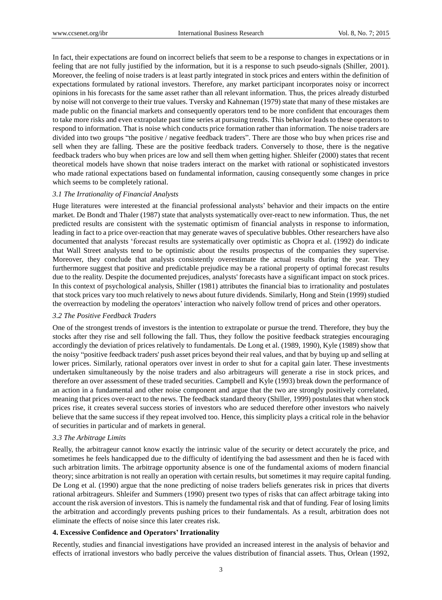In fact, their expectations are found on incorrect beliefs that seem to be a response to changes in expectations or in feeling that are not fully justified by the information, but it is a response to such pseudo-signals (Shiller, 2001). Moreover, the feeling of noise traders is at least partly integrated in stock prices and enters within the definition of expectations formulated by rational investors. Therefore, any market participant incorporates noisy or incorrect opinions in his forecasts for the same asset rather than all relevant information. Thus, the prices already disturbed by noise will not converge to their true values. Tversky and Kahneman (1979) state that many of these mistakes are made public on the financial markets and consequently operators tend to be more confident that encourages them to take more risks and even extrapolate past time series at pursuing trends. This behavior leads to these operators to respond to information. That is noise which conducts price formation rather than information. The noise traders are divided into two groups "the positive / negative feedback traders". There are those who buy when prices rise and sell when they are falling. These are the positive feedback traders. Conversely to those, there is the negative feedback traders who buy when prices are low and sell them when getting higher. Shleifer (2000) states that recent theoretical models have shown that noise traders interact on the market with rational or sophisticated investors who made rational expectations based on fundamental information, causing consequently some changes in price which seems to be completely rational.

#### *3.1 The Irrationality of Financial Analysts*

Huge literatures were interested at the financial professional analysts' behavior and their impacts on the entire market. De Bondt and Thaler (1987) state that analysts systematically over-react to new information. Thus, the net predicted results are consistent with the systematic optimism of financial analysts in response to information, leading in fact to a price over-reaction that may generate waves of speculative bubbles. Other researchers have also documented that analysts "forecast results are systematically over optimistic as Chopra et al. (1992) do indicate that Wall Street analysts tend to be optimistic about the results prospectus of the companies they supervise. Moreover, they conclude that analysts consistently overestimate the actual results during the year. They furthermore suggest that positive and predictable prejudice may be a rational property of optimal forecast results due to the reality. Despite the documented prejudices, analysts' forecasts have a significant impact on stock prices. In this context of psychological analysis, Shiller (1981) attributes the financial bias to irrationality and postulates that stock prices vary too much relatively to news about future dividends. Similarly, Hong and Stein (1999) studied the overreaction by modeling the operators" interaction who naively follow trend of prices and other operators.

#### *3.2 The Positive Feedback Traders*

One of the strongest trends of investors is the intention to extrapolate or pursue the trend. Therefore, they buy the stocks after they rise and sell following the fall. Thus, they follow the positive feedback strategies encouraging accordingly the deviation of prices relatively to fundamentals. De Long et al. (1989, 1990), Kyle (1989) show that the noisy "positive feedback traders' push asset prices beyond their real values, and that by buying up and selling at lower prices. Similarly, rational operators over invest in order to shut for a capital gain later. These investments undertaken simultaneously by the noise traders and also arbitrageurs will generate a rise in stock prices, and therefore an over assessment of these traded securities. Campbell and Kyle (1993) break down the performance of an action in a fundamental and other noise component and argue that the two are strongly positively correlated, meaning that prices over-react to the news. The feedback standard theory (Shiller, 1999) postulates that when stock prices rise, it creates several success stories of investors who are seduced therefore other investors who naively believe that the same success if they repeat involved too. Hence, this simplicity plays a critical role in the behavior of securities in particular and of markets in general.

## *3.3 The Arbitrage Limits*

Really, the arbitrageur cannot know exactly the intrinsic value of the security or detect accurately the price, and sometimes he feels handicapped due to the difficulty of identifying the bad assessment and then he is faced with such arbitration limits. The arbitrage opportunity absence is one of the fundamental axioms of modern financial theory; since arbitration is not really an operation with certain results, but sometimes it may require capital funding. De Long et al. (1990) argue that the none predicting of noise traders beliefs generates risk in prices that diverts rational arbitrageurs. Shleifer and Summers (1990) present two types of risks that can affect arbitrage taking into account the risk aversion of investors. This is namely the fundamental risk and that of funding. Fear of losing limits the arbitration and accordingly prevents pushing prices to their fundamentals. As a result, arbitration does not eliminate the effects of noise since this later creates risk.

#### **4. Excessive Confidence and Operators'Irrationality**

Recently, studies and financial investigations have provided an increased interest in the analysis of behavior and effects of irrational investors who badly perceive the values distribution of financial assets. Thus, Orlean (1992,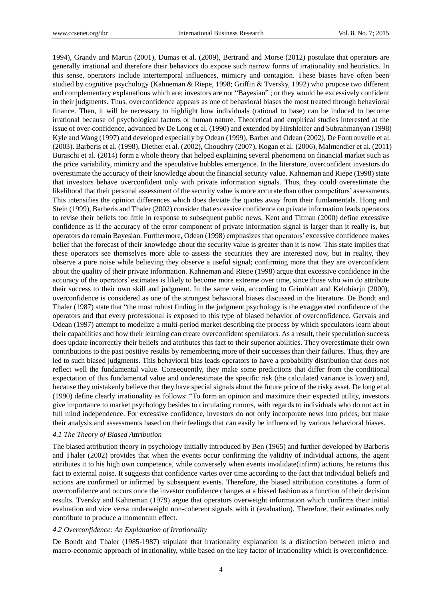1994), Grandy and Martin (2001), Dumas et al. (2009), Bertrand and Morse (2012) postulate that operators are generally irrational and therefore their behaviors do expose such narrow forms of irrationality and heuristics. In this sense, operators include intertemporal influences, mimicry and contagion. These biases have often been studied by cognitive psychology (Kahneman & Riepe, 1998; Griffin & Tversky, 1992) who propose two different and complementary explanations which are: investors are not "Bayesian" ; or they would be excessively confident in their judgments. Thus, overconfidence appears as one of behavioral biases the most treated through behavioral finance. Then, it will be necessary to highlight how individuals (rational to base) can be induced to become irrational because of psychological factors or human nature. Theoretical and empirical studies interested at the issue of over-confidence, advanced by De Long et al. (1990) and extended by Hirshleifer and Subrahmanyan (1998) Kyle and Wang (1997) and developed especially by Odean (1999), Barber and Odean (2002), De Fontrouvelle et al. (2003). Barberis et al. (1998), Diether et al. (2002), Choudhry (2007), Kogan et al. (2006), Malmendier et al. (2011) Buraschi et al. (2014) form a whole theory that helped explaining several phenomena on financial market such as the price variability, mimicry and the speculative bubbles emergence. In the literature, overconfident investors do overestimate the accuracy of their knowledge about the financial security value. Kahneman and Riepe (1998) state that investors behave overconfident only with private information signals. Thus, they could overestimate the likelihood that their personal assessment of the security value is more accurate than other competitors" assessments. This intensifies the opinion differences which does deviate the quotes away from their fundamentals. Hong and Stein (1999), Barberis and Thaler (2002) consider that excessive confidence on private information leads operators to revise their beliefs too little in response to subsequent public news. Kent and Titman (2000) define excessive confidence as if the accuracy of the error component of private information signal is larger than it really is, but operators do remain Bayesian. Furthermore, Odean (1998) emphasizes that operators" excessive confidence makes belief that the forecast of their knowledge about the security value is greater than it is now. This state implies that these operators see themselves more able to assess the securities they are interested now, but in reality, they observe a pure noise while believing they observe a useful signal; confirming more that they are overconfident about the quality of their private information. Kahneman and Riepe (1998) argue that excessive confidence in the accuracy of the operators" estimates is likely to become more extreme over time, since those who win do attribute their success to their own skill and judgment. In the same vein, according to Grimblatt and Kelohiarju (2000), overconfidence is considered as one of the strongest behavioral biases discussed in the literature. De Bondt and Thaler (1987) state that "the most robust finding in the judgment psychology is the exaggerated confidence of the operators and that every professional is exposed to this type of biased behavior of overconfidence. Gervais and Odean (1997) attempt to modelize a multi-period market describing the process by which speculators learn about their capabilities and how their learning can create overconfident speculators. As a result, their speculation success does update incorrectly their beliefs and attributes this fact to their superior abilities. They overestimate their own contributions to the past positive results by remembering more of their successes than their failures. Thus, they are led to such biased judgments. This behavioral bias leads operators to have a probability distribution that does not reflect well the fundamental value. Consequently, they make some predictions that differ from the conditional expectation of this fundamental value and underestimate the specific risk (the calculated variance is lower) and, because they mistakenly believe that they have special signals about the future price of the risky asset. De long et al. (1990) define clearly irrationality as follows: "To form an opinion and maximize their expected utility, investors give importance to market psychology besides to circulating rumors, with regards to individuals who do not act in full mind independence. For excessive confidence, investors do not only incorporate news into prices, but make their analysis and assessments based on their feelings that can easily be influenced by various behavioral biases.

#### *4.1 The Theory of Biased Attribution*

The biased attribution theory in psychology initially introduced by Ben (1965) and further developed by Barberis and Thaler (2002) provides that when the events occur confirming the validity of individual actions, the agent attributes it to his high own competence, while conversely when events invalidate(infirm) actions, he returns this fact to external noise. It suggests that confidence varies over time according to the fact that individual beliefs and actions are confirmed or infirmed by subsequent events. Therefore, the biased attribution constitutes a form of overconfidence and occurs once the investor confidence changes at a biased fashion as a function of their decision results. Tversky and Kahneman (1979) argue that operators overweight information which confirms their initial evaluation and vice versa underweight non-coherent signals with it (evaluation). Therefore, their estimates only contribute to produce a momentum effect.

## *4.2 Overconfidence: An Explanation of Irrationality*

De Bondt and Thaler (1985-1987) stipulate that irrationality explanation is a distinction between micro and macro-economic approach of irrationality, while based on the key factor of irrationality which is overconfidence.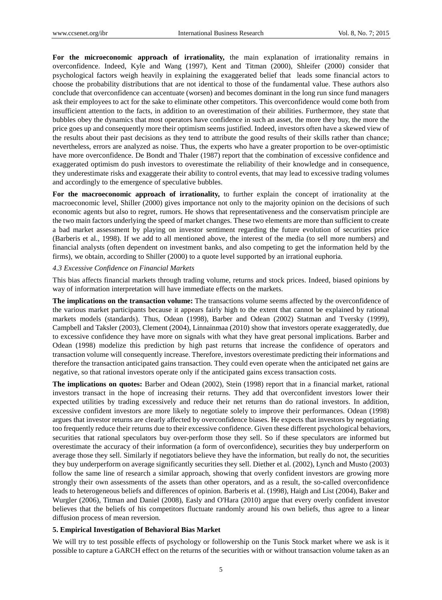**For the microeconomic approach of irrationality,** the main explanation of irrationality remains in overconfidence. Indeed, Kyle and Wang (1997), Kent and Titman (2000), Shleifer (2000) consider that psychological factors weigh heavily in explaining the exaggerated belief that leads some financial actors to choose the probability distributions that are not identical to those of the fundamental value. These authors also conclude that overconfidence can accentuate (worsen) and becomes dominant in the long run since fund managers ask their employees to act for the sake to eliminate other competitors. This overconfidence would come both from insufficient attention to the facts, in addition to an overestimation of their abilities. Furthermore, they state that bubbles obey the dynamics that most operators have confidence in such an asset, the more they buy, the more the price goes up and consequently more their optimism seems justified. Indeed, investors often have a skewed view of the results about their past decisions as they tend to attribute the good results of their skills rather than chance; nevertheless, errors are analyzed as noise. Thus, the experts who have a greater proportion to be over-optimistic have more overconfidence. De Bondt and Thaler (1987) report that the combination of excessive confidence and exaggerated optimism do push investors to overestimate the reliability of their knowledge and in consequence, they underestimate risks and exaggerate their ability to control events, that may lead to excessive trading volumes and accordingly to the emergence of speculative bubbles.

**For the macroeconomic approach of irrationality,** to further explain the concept of irrationality at the macroeconomic level, Shiller (2000) gives importance not only to the majority opinion on the decisions of such economic agents but also to regret, rumors. He shows that representativeness and the conservatism principle are the two main factors underlying the speed of market changes. These two elements are more than sufficient to create a bad market assessment by playing on investor sentiment regarding the future evolution of securities price (Barberis et al., 1998). If we add to all mentioned above, the interest of the media (to sell more numbers) and financial analysts (often dependent on investment banks, and also competing to get the information held by the firms), we obtain, according to Shiller (2000) to a quote level supported by an irrational euphoria*.*

#### *4.3 Excessive Confidence on Financial Markets*

This bias affects financial markets through trading volume, returns and stock prices. Indeed, biased opinions by way of information interpretation will have immediate effects on the markets.

**The implications on the transaction volume:** The transactions volume seems affected by the overconfidence of the various market participants because it appears fairly high to the extent that cannot be explained by rational markets models (standards). Thus, Odean (1998), Barber and Odean (2002) Statman and Tversky (1999), Campbell and Taksler (2003), Clement (2004), Linnainmaa (2010) show that investors operate exaggeratedly, due to excessive confidence they have more on signals with what they have great personal implications. Barber and Odean (1998) modelize this prediction by high past returns that increase the confidence of operators and transaction volume will consequently increase. Therefore, investors overestimate predicting their informations and therefore the transaction anticipated gains transaction. They could even operate when the anticipated net gains are negative, so that rational investors operate only if the anticipated gains excess transaction costs.

**The implications on quotes:** Barber and Odean (2002), Stein (1998) report that in a financial market, rational investors transact in the hope of increasing their returns. They add that overconfident investors lower their expected utilities by trading excessively and reduce their net returns than do rational investors. In addition, excessive confident investors are more likely to negotiate solely to improve their performances. Odean (1998) argues that investor returns are clearly affected by overconfidence biases. He expects that investors by negotiating too frequently reduce their returns due to their excessive confidence. Given these different psychological behaviors, securities that rational speculators buy over-perform those they sell. So if these speculators are informed but overestimate the accuracy of their information (a form of overconfidence), securities they buy underperform on average those they sell. Similarly if negotiators believe they have the information, but really do not, the securities they buy underperform on average significantly securities they sell. Diether et al. (2002), Lynch and Musto (2003) follow the same line of research a similar approach, showing that overly confident investors are growing more strongly their own assessments of the assets than other operators, and as a result, the so-called overconfidence leads to heterogeneous beliefs and differences of opinion. Barberis et al. (1998), Haigh and List (2004), Baker and Wurgler (2006), Titman and Daniel (2008), Easly and O'Hara (2010) argue that every overly confident investor believes that the beliefs of his competitors fluctuate randomly around his own beliefs, thus agree to a linear diffusion process of mean reversion.

#### **5. Empirical Investigation of Behavioral Bias Market**

We will try to test possible effects of psychology or followership on the Tunis Stock market where we ask is it possible to capture a GARCH effect on the returns of the securities with or without transaction volume taken as an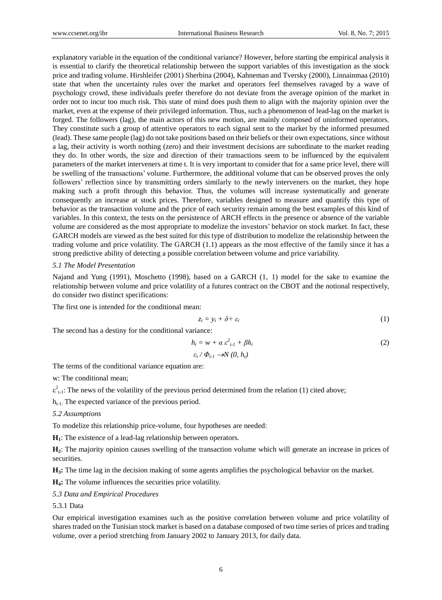explanatory variable in the equation of the conditional variance? However, before starting the empirical analysis it is essential to clarify the theoretical relationship between the support variables of this investigation as the stock price and trading volume. Hirshleifer (2001) Sherbina (2004), Kahneman and Tversky (2000), Linnainmaa (2010) state that when the uncertainty rules over the market and operators feel themselves ravaged by a wave of psychology crowd, these individuals prefer therefore do not deviate from the average opinion of the market in order not to incur too much risk. This state of mind does push them to align with the majority opinion over the market, even at the expense of their privileged information. Thus, such a phenomenon of lead-lag on the market is forged. The followers (lag), the main actors of this new motion, are mainly composed of uninformed operators. They constitute such a group of attentive operators to each signal sent to the market by the informed presumed (lead). These same people (lag) do not take positions based on their beliefs or their own expectations, since without a lag, their activity is worth nothing (zero) and their investment decisions are subordinate to the market reading they do. In other words, the size and direction of their transactions seem to be influenced by the equivalent parameters of the market interveners at time t. It is very important to consider that for a same price level, there will be swelling of the transactions" volume. Furthermore, the additional volume that can be observed proves the only followers' reflection since by transmitting orders similarly to the newly interveners on the market, they hope making such a profit through this behavior. Thus, the volumes will increase systematically and generate consequently an increase at stock prices. Therefore, variables designed to measure and quantify this type of behavior as the transaction volume and the price of each security remain among the best examples of this kind of variables. In this context, the tests on the persistence of ARCH effects in the presence or absence of the variable volume are considered as the most appropriate to modelize the investors" behavior on stock market. In fact, these GARCH models are viewed as the best suited for this type of distribution to modelize the relationship between the trading volume and price volatility. The GARCH (1.1) appears as the most effective of the family since it has a strong predictive ability of detecting a possible correlation between volume and price variability.

#### *5.1 The Model Presentation*

Najand and Yung (1991), Moschetto (1998), based on a GARCH (1, 1) model for the sake to examine the relationship between volume and price volatility of a futures contract on the CBOT and the notional respectively, do consider two distinct specifications:

The first one is intended for the conditional mean:

$$
z_t = y_t + \delta + \varepsilon_t \tag{1}
$$

The second has a destiny for the conditional variance:

$$
h_t = w + \alpha \varepsilon_{t-1}^2 + \beta h_t
$$
  
\n
$$
\varepsilon_t / \Phi_{t-1} \to N(0, h_t)
$$
\n(2)

The terms of the conditional variance equation are:

w: The conditional mean;

 $\varepsilon_{t-1}^2$ : The news of the volatility of the previous period determined from the relation (1) cited above;

 $h_{t-1}$ : The expected variance of the previous period.

*5.2 Assumptions*

To modelize this relationship price-volume, four hypotheses are needed:

**H1**: The existence of a lead-lag relationship between operators.

**H2**: The majority opinion causes swelling of the transaction volume which will generate an increase in prices of securities.

**H3:** The time lag in the decision making of some agents amplifies the psychological behavior on the market.

**H4:** The volume influences the securities price volatility.

*5.3 Data and Empirical Procedures*

5.3.1 Data

Our empirical investigation examines such as the positive correlation between volume and price volatility of shares traded on the Tunisian stock market is based on a database composed of two time series of prices and trading volume, over a period stretching from January 2002 to January 2013, for daily data.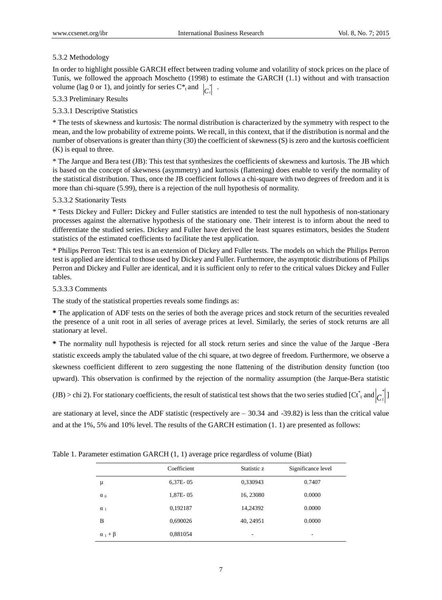## 5.3.2 Methodology

In order to highlight possible GARCH effect between trading volume and volatility of stock prices on the place of Tunis, we followed the approach Moschetto (1998) to estimate the GARCH (1.1) without and with transaction volume (lag 0 or 1), and jointly for series  $C^*$ <sub>t</sub> and  $\begin{bmatrix} C_t \\ C_t \end{bmatrix}$ .

## 5.3.3 Preliminary Results

## 5.3.3.1 Descriptive Statistics

\* The tests of skewness and kurtosis: The normal distribution is characterized by the symmetry with respect to the mean, and the low probability of extreme points. We recall, in this context, that if the distribution is normal and the number of observations is greater than thirty (30) the coefficient of skewness (S) is zero and the kurtosis coefficient (K) is equal to three.

\* The Jarque and Bera test (JB): This test that synthesizes the coefficients of skewness and kurtosis. The JB which is based on the concept of skewness (asymmetry) and kurtosis (flattening) does enable to verify the normality of the statistical distribution. Thus, once the JB coefficient follows a chi-square with two degrees of freedom and it is more than chi-square (5.99), there is a rejection of the null hypothesis of normality.

## 5.3.3.2 Stationarity Tests

\* Tests Dickey and Fuller**:** Dickey and Fuller statistics are intended to test the null hypothesis of non-stationary processes against the alternative hypothesis of the stationary one. Their interest is to inform about the need to differentiate the studied series. Dickey and Fuller have derived the least squares estimators, besides the Student statistics of the estimated coefficients to facilitate the test application.

\* Philips Perron Test: This test is an extension of Dickey and Fuller tests. The models on which the Philips Perron test is applied are identical to those used by Dickey and Fuller. Furthermore, the asymptotic distributions of Philips Perron and Dickey and Fuller are identical, and it is sufficient only to refer to the critical values Dickey and Fuller tables.

## 5.3.3.3 Comments

The study of the statistical properties reveals some findings as:

**\*** The application of ADF tests on the series of both the average prices and stock return of the securities revealed the presence of a unit root in all series of average prices at level. Similarly, the series of stock returns are all stationary at level.

**\*** The normality null hypothesis is rejected for all stock return series and since the value of the Jarque -Bera statistic exceeds amply the tabulated value of the chi square, at two degree of freedom. Furthermore, we observe a skewness coefficient different to zero suggesting the none flattening of the distribution density function (too upward). This observation is confirmed by the rejection of the normality assumption (the Jarque-Bera statistic

(JB) > chi 2). For stationary coefficients, the result of statistical test shows that the two series studied [Ct<sup>\*</sup><sub>t</sub> and  $\left|C_t^*\right|$ ]

are stationary at level, since the ADF statistic (respectively are – 30.34 and -39.82) is less than the critical value and at the 1%, 5% and 10% level. The results of the GARCH estimation (1. 1) are presented as follows:

|                    | Coefficient | Statistic z              | Significance level |
|--------------------|-------------|--------------------------|--------------------|
| μ                  | $6,37E-05$  | 0,330943                 | 0.7407             |
| $\alpha_0$         | 1,87E-05    | 16, 23080                | 0.0000             |
| $\alpha_1$         | 0,192187    | 14,24392                 | 0.0000             |
| B                  | 0,690026    | 40, 24951                | 0.0000             |
| $\alpha_1 + \beta$ | 0,881054    | $\overline{\phantom{a}}$ | ۰                  |

Table 1. Parameter estimation GARCH (1, 1) average price regardless of volume (Biat)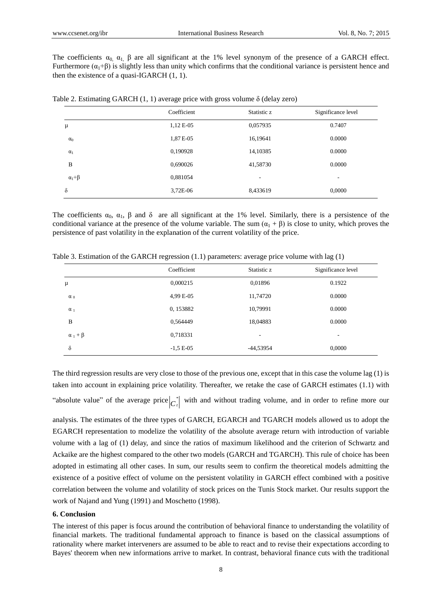The coefficients  $\alpha_0$ ,  $\alpha_1$ ,  $\beta$  are all significant at the 1% level synonym of the presence of a GARCH effect. Furthermore  $(\alpha_1+\beta)$  is slightly less than unity which confirms that the conditional variance is persistent hence and then the existence of a quasi-IGARCH (1, 1).

|                    | Coefficient | Statistic z              | Significance level       |
|--------------------|-------------|--------------------------|--------------------------|
| μ                  | 1,12 E-05   | 0,057935                 | 0.7407                   |
| $\alpha_0$         | 1,87 E-05   | 16,19641                 | 0.0000                   |
| $\alpha_1$         | 0,190928    | 14,10385                 | 0.0000                   |
| B                  | 0,690026    | 41,58730                 | 0.0000                   |
| $\alpha_1 + \beta$ | 0,881054    | $\overline{\phantom{a}}$ | $\overline{\phantom{a}}$ |
| δ                  | 3,72E-06    | 8,433619                 | 0,0000                   |

Table 2. Estimating GARCH (1, 1) average price with gross volume  $\delta$  (delay zero)

The coefficients  $\alpha_0$ ,  $\alpha_1$ ,  $\beta$  and  $\delta$  are all significant at the 1% level. Similarly, there is a persistence of the conditional variance at the presence of the volume variable. The sum  $(a_1 + \beta)$  is close to unity, which proves the persistence of past volatility in the explanation of the current volatility of the price.

|  |  |  | Table 3. Estimation of the GARCH regression $(1.1)$ parameters: average price volume with lag $(1)$ |  |  |  |
|--|--|--|-----------------------------------------------------------------------------------------------------|--|--|--|
|  |  |  |                                                                                                     |  |  |  |

|                    | Coefficient | Statistic z | Significance level |
|--------------------|-------------|-------------|--------------------|
| μ                  | 0,000215    | 0,01896     | 0.1922             |
| $\alpha_0$         | 4,99 E-05   | 11,74720    | 0.0000             |
| $\alpha_1$         | 0, 153882   | 10,79991    | 0.0000             |
| B                  | 0,564449    | 18,04883    | 0.0000             |
| $\alpha_1 + \beta$ | 0,718331    | -           | ٠                  |
| $\delta$           | $-1,5 E-05$ | -44,53954   | 0,0000             |

The third regression results are very close to those of the previous one, except that in this case the volume lag (1) is taken into account in explaining price volatility. Thereafter, we retake the case of GARCH estimates (1.1) with "absolute value" of the average price  $|c_t^*|$  with and without trading volume, and in order to refine more our

analysis. The estimates of the three types of GARCH, EGARCH and TGARCH models allowed us to adopt the EGARCH representation to modelize the volatility of the absolute average return with introduction of variable volume with a lag of (1) delay, and since the ratios of maximum likelihood and the criterion of Schwartz and Ackaike are the highest compared to the other two models (GARCH and TGARCH). This rule of choice has been adopted in estimating all other cases. In sum, our results seem to confirm the theoretical models admitting the existence of a positive effect of volume on the persistent volatility in GARCH effect combined with a positive correlation between the volume and volatility of stock prices on the Tunis Stock market. Our results support the work of Najand and Yung (1991) and Moschetto (1998).

## **6. Conclusion**

The interest of this paper is focus around the contribution of behavioral finance to understanding the volatility of financial markets. The traditional fundamental approach to finance is based on the classical assumptions of rationality where market interveners are assumed to be able to react and to revise their expectations according to Bayes' theorem when new informations arrive to market. In contrast, behavioral finance cuts with the traditional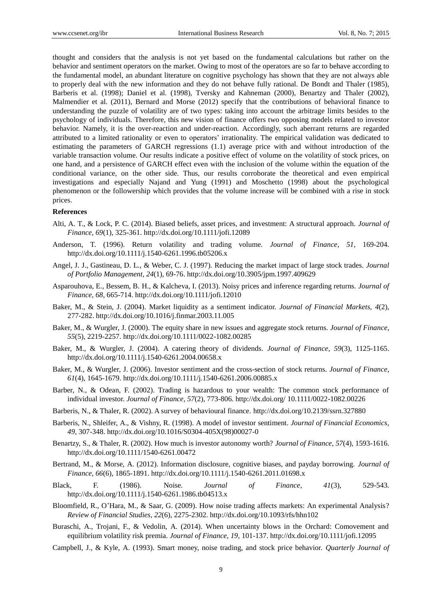thought and considers that the analysis is not yet based on the fundamental calculations but rather on the behavior and sentiment operators on the market. Owing to most of the operators are so far to behave according to the fundamental model, an abundant literature on cognitive psychology has shown that they are not always able to properly deal with the new information and they do not behave fully rational. De Bondt and Thaler (1985), Barberis et al. (1998); Daniel et al. (1998), Tversky and Kahneman (2000), Benartzy and Thaler (2002), Malmendier et al. (2011), Bernard and Morse (2012) specify that the contributions of behavioral finance to understanding the puzzle of volatility are of two types: taking into account the arbitrage limits besides to the psychology of individuals. Therefore, this new vision of finance offers two opposing models related to investor behavior. Namely, it is the over-reaction and under-reaction. Accordingly, such aberrant returns are regarded attributed to a limited rationality or even to operators" irrationality. The empirical validation was dedicated to estimating the parameters of GARCH regressions (1.1) average price with and without introduction of the variable transaction volume. Our results indicate a positive effect of volume on the volatility of stock prices, on one hand, and a persistence of GARCH effect even with the inclusion of the volume within the equation of the conditional variance, on the other side. Thus, our results corroborate the theoretical and even empirical investigations and especially Najand and Yung (1991) and Moschetto (1998) about the psychological phenomenon or the followership which provides that the volume increase will be combined with a rise in stock prices.

#### **References**

- Alti, A. T., & Lock, P. C. (2014). Biased beliefs, asset prices, and investment: A structural approach. *Journal of Finance, 69*(1), 325-361. http://dx.doi.org/10.1111/jofi.12089
- Anderson, T. (1996). Return volatility and trading volume. *Journal of Finance, 51*, 169-204. http://dx.doi.org/10.1111/j.1540-6261.1996.tb05206.x
- Angel, J. J., Gastineau, D. L., & Weber, C. J. (1997). Reducing the market impact of large stock trades. *Journal of Portfolio Management, 24*(1), 69-76. http://dx.doi.org/10.3905/jpm.1997.409629
- Asparouhova, E., Bessem, B. H., & Kalcheva, I. (2013). Noisy prices and inference regarding returns. *Journal of Finance, 68*, 665-714. http://dx.doi.org/10.1111/jofi.12010
- Baker, M., & Stein, J. (2004). Market liquidity as a sentiment indicator. *Journal of Financial Markets, 4*(2), 277-282. http://dx.doi.org/10.1016/j.finmar.2003.11.005
- Baker, M., & Wurgler, J. (2000). The equity share in new issues and aggregate stock returns. *Journal of Finance, 55*(5), 2219-2257. http://dx.doi.org/10.1111/0022-1082.00285
- Baker, M., & Wurgler, J. (2004). A catering theory of dividends. *Journal of Finance, 59*(3), 1125-1165. http://dx.doi.org/10.1111/j.1540-6261.2004.00658.x
- Baker, M., & Wurgler, J. (2006). Investor sentiment and the cross-section of stock returns. *Journal of Finance, 61*(4), 1645-1679. http://dx.doi.org/10.1111/j.1540-6261.2006.00885.x
- Barber, N., & Odean, F. (2002). Trading is hazardous to your wealth: The common stock performance of individual investor. *Journal of Finance, 57*(2), 773-806. http://dx.doi.org/ 10.1111/0022-1082.00226
- Barberis, N., & Thaler, R. (2002). A survey of behavioural finance. http://dx.doi.org/10.2139/ssrn.327880
- Barberis, N., Shleifer, A., & Vishny, R. (1998). A model of investor sentiment. *Journal of Financial Economics, 49*, 307-348. http://dx.doi.org/10.1016/S0304-405X(98)00027-0
- Benartzy, S., & Thaler, R. (2002). How much is investor autonomy worth? *Journal of Finance, 57*(4), 1593-1616. http://dx.doi.org/10.1111/1540-6261.00472
- Bertrand, M., & Morse, A. (2012). Information disclosure, cognitive biases, and payday borrowing. *Journal of Finance, 66*(6), 1865-1891. http://dx.doi.org/10.1111/j.1540-6261.2011.01698.x
- Black, F. (1986). Noise. *Journal of Finance, 41*(3), 529-543. http://dx.doi.org/10.1111/j.1540-6261.1986.tb04513.x
- Bloomfield, R., O"Hara, M., & Saar, G. (2009). How noise trading affects markets: An experimental Analysis? *Review of Financial Studies, 22*(6), 2275-2302. http://dx.doi.org/10.1093/rfs/hhn102
- Buraschi, A., Trojani, F., & Vedolin, A. (2014). When uncertainty blows in the Orchard: Comovement and equilibrium volatility risk premia. *Journal of Finance, 19*, 101-137. http://dx.doi.org/10.1111/jofi.12095
- Campbell, J., & Kyle, A. (1993). Smart money, noise trading, and stock price behavior. *Quarterly Journal of*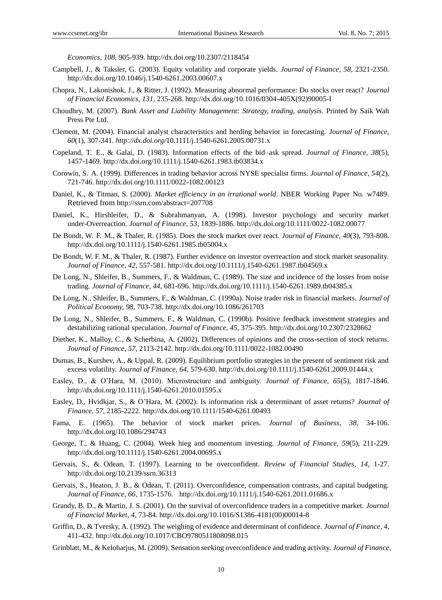*Economics, 108*, 905-939. http://dx.doi.org/10.2307/2118454

- Campbell, J., & Taksler, G. (2003). Equity volatility and corporate yields. *Journal of Finance, 58,* 2321-2350. http://dx.doi.org/10.1046/j.1540-6261.2003.00607.x
- Chopra, N., Lakonishok, J., & Ritter, J. (1992). Measuring abnormal performance: Do stocks over react? *Journal of Financial Economics, 131*, 235-268. http://dx.doi.org/10.1016/0304-405X(92)90005-I
- Choudhry, M. (2007). *Bank Asset and Liability Management: Strategy, trading, analysis.* Printed by Saik Wah Press Pte Ltd.
- Clement, M. (2004). Financial analyst characteristics and herding behavior in forecasting. *Journal of Finance*, *60*(1), 307-341. *http://dx.doi.org/*10.1111/j.1540-6261.2005.00731.x
- Copeland, T. E., & Galai, D. (1983). Information effects of the bid–ask spread. *Journal of Finance, 38*(5), 1457-1469. http://dx.doi.org/10.1111/j.1540-6261.1983.tb03834.x
- Corowin, S. A. (1999). Differences in trading behavior across NYSE specialist firms. *Journal of Finance, 54*(2), 721-746. http://dx.doi.org/10.1111/0022-1082.00123
- Daniel, K., & Titman, S. (2000). *Market efficiency in an irrational world*. NBER Working Paper No. w7489. Retrieved from http://ssrn.com/abstract=207708
- Daniel, K., Hirshleifer, D., & Subrahmanyan, A. (1998). Investor psychology and security market under-Overreaction. *Journal of Finance, 53*, 1839-1886. http://dx.doi.org/10.1111/0022-1082.00077
- De Bondt, W. F. M., & Thaler, R. (1985). Does the stock market over react. *Journal of Finance, 40*(3), 793-808. http://dx.doi.org/10.1111/j.1540-6261.1985.tb05004.x
- De Bondt, W. F. M., & Thaler, R. (1987). Further evidence on investor overreaction and stock market seasonality. *Journal of Finance, 42*, 557-581. http://dx.doi.org/10.1111/j.1540-6261.1987.tb04569.x
- De Long, N., Shleifer, B., Summers, F., & Waldman, C. (1989). The size and incidence of the losses from noise trading. *Journal of Finance, 44*, 681-696. http://dx.doi.org/10.1111/j.1540-6261.1989.tb04385.x
- De Long, N., Shleifer, B., Summers, F., & Waldman, C. (1990a). Noise trader risk in financial markets. *Journal of Political Economy, 98,* 703-738. http://dx.doi.org/10.1086/261703
- De Long, N., Shleifer, B., Summers, F., & Waldman, C. (1990b). Positive feedback investment strategies and destabilizing rational speculation. *Journal of Finance, 45*, 375-395. http://dx.doi.org/10.2307/2328662
- Diether, K., Malloy, C., & Scherbina, A. (2002). Differences of opinions and the cross-section of stock returns. *Journal of Finance, 57*, 2113-2142. http://dx.doi.org/10.1111/0022-1082.00490
- Dumas, B., Kurshev, A., & Uppal, R. (2009). Equilibrium portfolio strategies in the present of sentiment risk and excess volatility. *Journal of Finance, 64*, 579-630. http://dx.doi.org/10.1111/j.1540-6261.2009.01444.x
- Easley, D., & O"Hara, M. (2010). Microstructure and ambiguity. *Journal of Finance, 65*(5), 1817-1846. http://dx.doi.org/10.1111/j.1540-6261.2010.01595.x
- Easley, D., Hvidkjar, S., & O"Hara, M. (2002). Is information risk a determinant of asset returns? *Journal of Finance, 57*, 2185-2222. http://dx.doi.org/10.1111/1540-6261.00493
- Fama, E. (1965). The behavior of stock market prices. *Journal of Business, 38*, 34-106. http://dx.doi.org/10.1086/294743
- George, T., & Huang, C. (2004). Week hieg and momentum investing. *Journal of Finance, 59*(5), 211-229. http://dx.doi.org/10.1111/j.1540-6261.2004.00695.x
- Gervais, S., & Odean, T. (1997). Learning to be overconfident. *Review of Financial Studies, 14*, 1-27. http://dx.doi.org/10.2139/ssrn.36313
- Gervais, S., Heaton, J. B., & Odean, T. (2011). Overconfidence, compensation contrasts, and capital budgeting. *Journal of Finance, 66*, 1735-1576. http://dx.doi.org/10.1111/j.1540-6261.2011.01686.x
- Grandy, B. D., & Martin, J. S. (2001). On the survival of overconfidence traders in a competitive market. *Journal of Financial Market, 4*, 73-84. http://dx.doi.org/10.1016/S1386-4181(00)00014-8
- Griffin, D., & Tversky, A. (1992). The weighing of evidence and determinant of confidence. *Journal of Finance, 4*, 411-432. http://dx.doi.org/10.1017/CBO9780511808098.015
- Grinblatt, M., & Keloharjus, M. (2009). Sensation seeking overconfidence and trading activity. *Journal of Finance,*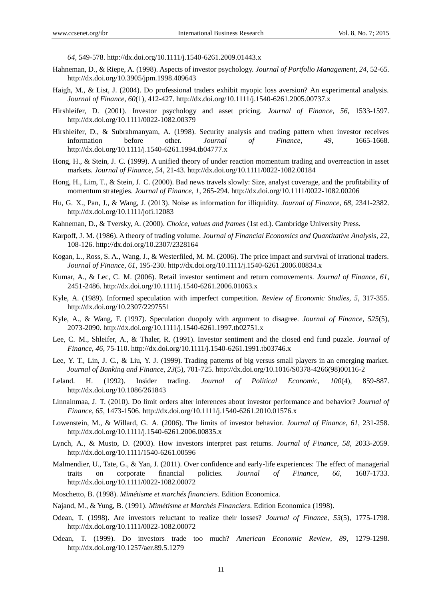*64,* 549-578. http://dx.doi.org/10.1111/j.1540-6261.2009.01443.x

- Hahneman, D., & Riepe, A. (1998). Aspects of investor psychology. *Journal of Portfolio Management, 24*, 52-65. http://dx.doi.org/10.3905/jpm.1998.409643
- Haigh, M., & List, J. (2004). Do professional traders exhibit myopic loss aversion? An experimental analysis. *Journal of Finance, 60*(1), 412-427. http://dx.doi.org/10.1111/j.1540-6261.2005.00737.x
- Hirshleifer, D. (2001). Investor psychology and asset pricing. *Journal of Finance, 56*, 1533-1597. http://dx.doi.org/10.1111/0022-1082.00379
- Hirshleifer, D., & Subrahmanyam, A. (1998). Security analysis and trading pattern when investor receives information before other. *Journal of Finance, 49*, 1665-1668. http://dx.doi.org/10.1111/j.1540-6261.1994.tb04777.x
- Hong, H., & Stein, J. C. (1999). A unified theory of under reaction momentum trading and overreaction in asset markets. *Journal of Finance, 54*, 21-43. http://dx.doi.org/10.1111/0022-1082.00184
- Hong, H., Lim, T., & Stein, J. C. (2000). Bad news travels slowly: Size, analyst coverage, and the profitability of momentum strategies. *Journal of Finance, 1*, 265-294. http://dx.doi.org/10.1111/0022-1082.00206
- Hu, G. X., Pan, J., & Wang, J. (2013). Noise as information for illiquidity. *Journal of Finance, 68*, 2341-2382. http://dx.doi.org/10.1111/jofi.12083
- Kahneman, D., & Tversky, A. (2000). *Choice, values and frames* (1st ed.). Cambridge University Press.
- Karpoff, J. M. (1986). A theory of trading volume. *Journal of Financial Economics and Quantitative Analysis, 22*, 108-126. http://dx.doi.org/10.2307/2328164
- Kogan, L., Ross, S. A., Wang, J., & Westerfiled, M. M. (2006). The price impact and survival of irrational traders. *Journal of Finance, 61*, 195-230. http://dx.doi.org/10.1111/j.1540-6261.2006.00834.x
- Kumar, A., & Lec, C. M. (2006). Retail investor sentiment and return comovements. *Journal of Finance, 61*, 2451-2486. http://dx.doi.org/10.1111/j.1540-6261.2006.01063.x
- Kyle, A. (1989). Informed speculation with imperfect competition. *Review of Economic Studies, 5*, 317-355. http://dx.doi.org/10.2307/2297551
- Kyle, A., & Wang, F. (1997). Speculation duopoly with argument to disagree. *Journal of Finance, 525*(5), 2073-2090. http://dx.doi.org/10.1111/j.1540-6261.1997.tb02751.x
- Lee, C. M., Shleifer, A., & Thaler, R. (1991). Investor sentiment and the closed end fund puzzle. *Journal of Finance, 46*, 75-110. http://dx.doi.org/10.1111/j.1540-6261.1991.tb03746.x
- Lee, Y. T., Lin, J. C., & Liu, Y. J. (1999). Trading patterns of big versus small players in an emerging market. *Journal of Banking and Finance, 23*(5), 701-725. http://dx.doi.org/10.1016/S0378-4266(98)00116-2
- Leland. H. (1992). Insider trading. *Journal of Political Economic, 100*(4), 859-887. http://dx.doi.org/10.1086/261843
- Linnainmaa, J. T. (2010). Do limit orders alter inferences about investor performance and behavior? *Journal of Finance, 65*, 1473-1506. http://dx.doi.org/10.1111/j.1540-6261.2010.01576.x
- Lowenstein, M., & Willard, G. A. (2006). The limits of investor behavior*. Journal of Finance, 61*, 231-258. http://dx.doi.org/10.1111/j.1540-6261.2006.00835.x
- Lynch, A., & Musto, D. (2003). How investors interpret past returns. *Journal of Finance, 58*, 2033-2059. http://dx.doi.org/10.1111/1540-6261.00596
- Malmendier, U., Tate, G., & Yan, J. (2011). Over confidence and early-life experiences: The effect of managerial traits on corporate financial policies. *Journal of Finance, 66*, 1687-1733. http://dx.doi.org/10.1111/0022-1082.00072
- Moschetto, B. (1998). *Mimétisme et marchés financiers*. Edition Economica.
- Najand, M., & Yung, B. (1991). *Mimétisme et Marchés Financiers*. Edition Economica (1998).
- Odean, T. (1998). Are investors reluctant to realize their losses? *Journal of Finance, 53*(5), 1775-1798. http://dx.doi.org/10.1111/0022-1082.00072
- Odean, T. (1999). Do investors trade too much? *American Economic Review, 89*, 1279-1298. http://dx.doi.org/10.1257/aer.89.5.1279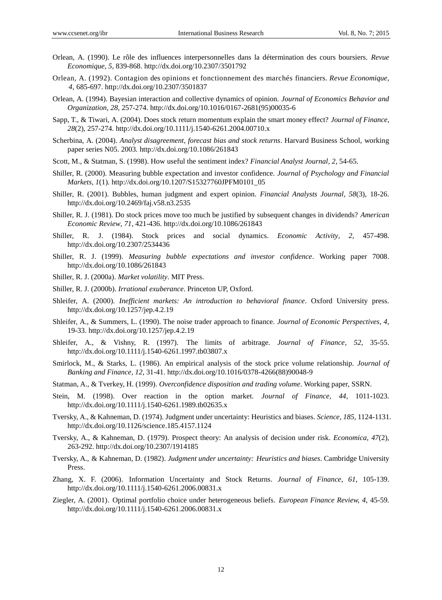- Orlean, A. (1990). Le rôle des influences interpersonnelles dans la détermination des cours boursiers. *Revue Economique, 5*, 839-868. http://dx.doi.org/10.2307/3501792
- Orlean, A. (1992). Contagion des opinions et fonctionnement des marchés financiers. *Revue Economique, 4*, 685-697. http://dx.doi.org/10.2307/3501837
- Orlean, A. (1994). Bayesian interaction and collective dynamics of opinion. *Journal of Economics Behavior and Organization, 28*, 257-274. http://dx.doi.org/10.1016/0167-2681(95)00035-6
- Sapp, T., & Tiwari, A. (2004). Does stock return momentum explain the smart money effect? *Journal of Finance*, *28*(2), 257-274. http://dx.doi.org/10.1111/j.1540-6261.2004.00710.x
- Scherbina, A. (2004). *Analyst disagreement, forecast bias and stock returns*. Harvard Business School, working paper series N05. 2003*.* http://dx.doi.org/10.1086/261843
- Scott, M., & Statman, S. (1998). How useful the sentiment index? *Financial Analyst Journal, 2*, 54-65.
- Shiller, R. (2000). Measuring bubble expectation and investor confidence. *Journal of Psychology and Financial Markets, 1*(1). http://dx.doi.org/10.1207/S15327760JPFM0101\_05
- Shiller, R. (2001). Bubbles, human judgment and expert opinion. *Financial Analysts Journal, 58*(3), 18-26. http://dx.doi.org/10.2469/faj.v58.n3.2535
- Shiller, R. J. (1981). Do stock prices move too much be justified by subsequent changes in dividends? *American Economic Review, 71*, 421-436. http://dx.doi.org/10.1086/261843
- Shiller, R. J. (1984). Stock prices and social dynamics. *Economic Activity, 2*, 457-498. http://dx.doi.org/10.2307/2534436
- Shiller, R. J. (1999). *Measuring bubble expectations and investor confidence*. Working paper 7008. http://dx.doi.org/10.1086/261843
- Shiller, R. J. (2000a). *Market volatility*. MIT Press.
- Shiller, R. J. (2000b). *Irrational exuberance*. Princeton UP, Oxford.
- Shleifer, A. (2000). *Inefficient markets: An introduction to behavioral finance*. Oxford University press. http://dx.doi.org/10.1257/jep.4.2.19
- Shleifer, A., & Summers, L. (1990). The noise trader approach to finance. *Journal of Economic Perspectives, 4*, 19-33. http://dx.doi.org/10.1257/jep.4.2.19
- Shleifer, A., & Vishny, R. (1997). The limits of arbitrage*. Journal of Finance, 52*, 35-55. http://dx.doi.org/10.1111/j.1540-6261.1997.tb03807.x
- Smirlock, M., & Starks, L. (1986). An empirical analysis of the stock price volume relationship. *Journal of Banking and Finance, 12*, 31-41. http://dx.doi.org/10.1016/0378-4266(88)90048-9
- Statman, A., & Tverkey, H. (1999). *Overconfidence disposition and trading volume*. Working paper, SSRN.
- Stein, M. (1998). Over reaction in the option market. *Journal of Finance, 44*, 1011-1023. http://dx.doi.org/10.1111/j.1540-6261.1989.tb02635.x
- Tversky, A., & Kahneman, D. (1974). Judgment under uncertainty: Heuristics and biases. *Science, 185*, 1124-1131. http://dx.doi.org/10.1126/science.185.4157.1124
- Tversky, A., & Kahneman, D. (1979). Prospect theory: An analysis of decision under risk. *Economica, 47*(2), 263-292. http://dx.doi.org/10.2307/1914185
- Tversky, A., & Kahneman, D. (1982). *Judgment under uncertainty: Heuristics and biases*. Cambridge University Press.
- Zhang, X. F. (2006). Information Uncertainty and Stock Returns. *Journal of Finance, 61*, 105-139. http://dx.doi.org/10.1111/j.1540-6261.2006.00831.x
- Ziegler, A. (2001). Optimal portfolio choice under heterogeneous beliefs. *European Finance Review, 4*, 45-59. http://dx.doi.org/10.1111/j.1540-6261.2006.00831.x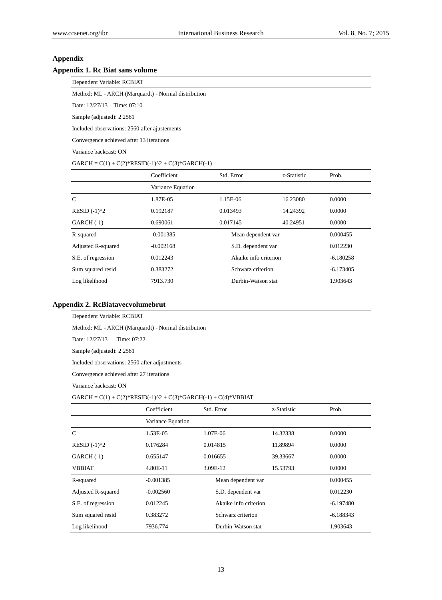# **Appendix**

## **Appendix 1. Rc Biat sans volume**

Dependent Variable: RCBIAT

Method: ML - ARCH (Marquardt) - Normal distribution

Date: 12/27/13 Time: 07:10

Sample (adjusted): 2 2561

Included observations: 2560 after ajustements

Convergence achieved after 13 iterations

Variance backcast: ON

 $GARCH = C(1) + C(2)*RESID(-1)^2 + C(3)*GARCH(-1)$ 

|                    | Coefficient       | Std. Error            | z-Statistic | Prob.       |
|--------------------|-------------------|-----------------------|-------------|-------------|
|                    | Variance Equation |                       |             |             |
| C                  | 1.87E-05          | 1.15E-06              | 16.23080    | 0.0000      |
| $RESID (-1)2$      | 0.192187          | 0.013493              | 14.24392    | 0.0000      |
| $GARCH(-1)$        | 0.690061          | 0.017145              | 40.24951    | 0.0000      |
| R-squared          | $-0.001385$       | Mean dependent var    |             | 0.000455    |
| Adjusted R-squared | $-0.002168$       | S.D. dependent var    |             | 0.012230    |
| S.E. of regression | 0.012243          | Akaike info criterion |             | $-6.180258$ |
| Sum squared resid  | 0.383272          | Schwarz criterion     |             | $-6.173405$ |
| Log likelihood     | 7913.730          | Durbin-Watson stat    |             | 1.903643    |

## **Appendix 2. RcBiatavecvolumebrut**

#### Dependent Variable: RCBIAT

Method: ML - ARCH (Marquardt) - Normal distribution

Date: 12/27/13 Time: 07:22

Sample (adjusted): 2 2561

Included observations: 2560 after adjustments

Convergence achieved after 27 iterations

Variance backcast: ON

#### $GARCH = C(1) + C(2)*RESID(-1)^2 + C(3)*GARCH(-1) + C(4)*VBBIAT$

|                    | Coefficient       | Std. Error            | z-Statistic | Prob.       |
|--------------------|-------------------|-----------------------|-------------|-------------|
|                    | Variance Equation |                       |             |             |
| $\mathcal{C}$      | 1.53E-05          | 1.07E-06              | 14.32338    | 0.0000      |
| RESID $(-1)^{2}$   | 0.176284          | 0.014815              | 11.89894    | 0.0000      |
| $GARCH(-1)$        | 0.655147          | 0.016655              | 39.33667    | 0.0000      |
| <b>VBBIAT</b>      | 4.80E-11          | 3.09E-12              | 15.53793    | 0.0000      |
| R-squared          | $-0.001385$       | Mean dependent var    |             | 0.000455    |
| Adjusted R-squared | $-0.002560$       | S.D. dependent var    |             | 0.012230    |
| S.E. of regression | 0.012245          | Akaike info criterion |             | $-6.197480$ |
| Sum squared resid  | 0.383272          | Schwarz criterion     |             | $-6.188343$ |
| Log likelihood     | 7936.774          | Durbin-Watson stat    |             | 1.903643    |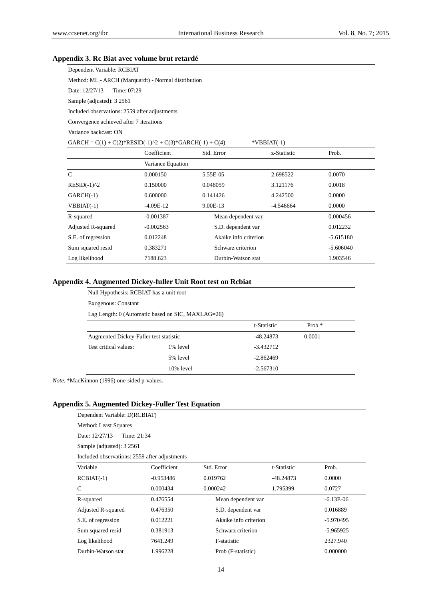# **Appendix 3. Rc Biat avec volume brut retardé**

| Dependent Variable: RCBIAT                          |  |  |  |  |  |
|-----------------------------------------------------|--|--|--|--|--|
| Method: ML - ARCH (Marquardt) - Normal distribution |  |  |  |  |  |
| Date: 12/27/13 Time: 07:29                          |  |  |  |  |  |
| Sample (adjusted): 3 2561                           |  |  |  |  |  |
| Included observations: 2559 after adjustments       |  |  |  |  |  |
| Convergence achieved after 7 iterations             |  |  |  |  |  |
| Variance backcast: ON                               |  |  |  |  |  |

| GARCH = $C(1) + C(2)$ *RESID(-1)^2 + $C(3)$ *GARCH(-1) + $C(4)$ |                   |                       | $*VBBIAT(-1)$ |             |
|-----------------------------------------------------------------|-------------------|-----------------------|---------------|-------------|
|                                                                 | Coefficient       | Std. Error            | z-Statistic   | Prob.       |
|                                                                 | Variance Equation |                       |               |             |
| $\mathsf{C}$                                                    | 0.000150          | 5.55E-05              | 2.698522      | 0.0070      |
| $RESID(-1)2$                                                    | 0.150000          | 0.048059              | 3.121176      | 0.0018      |
| $GARCH(-1)$                                                     | 0.600000          | 0.141426              | 4.242500      | 0.0000      |
| $VBBIAT(-1)$                                                    | $-4.09E-12$       | 9.00E-13              | -4.546664     | 0.0000      |
| R-squared                                                       | $-0.001387$       | Mean dependent var    |               | 0.000456    |
| Adjusted R-squared                                              | $-0.002563$       | S.D. dependent var    |               | 0.012232    |
| S.E. of regression                                              | 0.012248          | Akaike info criterion |               | $-5.615180$ |
| Sum squared resid                                               | 0.383271          | Schwarz criterion     |               | $-5.606040$ |
| Log likelihood                                                  | 7188.623          | Durbin-Watson stat    |               | 1.903546    |

## **Appendix 4. Augmented Dickey-fuller Unit Root test on Rcbiat**

Null Hypothesis: RCBIAT has a unit root

Exogenous: Constant

Lag Length: 0 (Automatic based on SIC, MAXLAG=26)

|                                        |           | t-Statistic | Prob. $*$ |
|----------------------------------------|-----------|-------------|-----------|
| Augmented Dickey-Fuller test statistic |           | -48.24873   | 0.0001    |
| Test critical values:                  | 1% level  | $-3.432712$ |           |
|                                        | 5% level  | $-2.862469$ |           |
|                                        | 10% level | $-2.567310$ |           |

*Note.* \*MacKinnon (1996) one-sided p-values.

## **Appendix 5. Augmented Dickey-Fuller Test Equation**

Dependent Variable: D(RCBIAT)

Method: Least Squares

Date: 12/27/13 Time: 21:34

Sample (adjusted): 3 2561

Included observations: 2559 after adjustments

| Variable           | Coefficient | Std. Error            | t-Statistic | Prob.       |
|--------------------|-------------|-----------------------|-------------|-------------|
| $RCBIAT(-1)$       | $-0.953486$ | 0.019762              | $-48.24873$ | 0.0000      |
| C                  | 0.000434    | 0.000242              | 1.795399    | 0.0727      |
| R-squared          | 0.476554    | Mean dependent var    |             | $-6.13E-06$ |
| Adjusted R-squared | 0.476350    | S.D. dependent var    |             | 0.016889    |
| S.E. of regression | 0.012221    | Akaike info criterion |             | -5.970495   |
| Sum squared resid  | 0.381913    | Schwarz criterion     |             | $-5.965925$ |
| Log likelihood     | 7641.249    | F-statistic           |             | 2327.940    |
| Durbin-Watson stat | 1.996228    | Prob (F-statistic)    |             | 0.000000    |